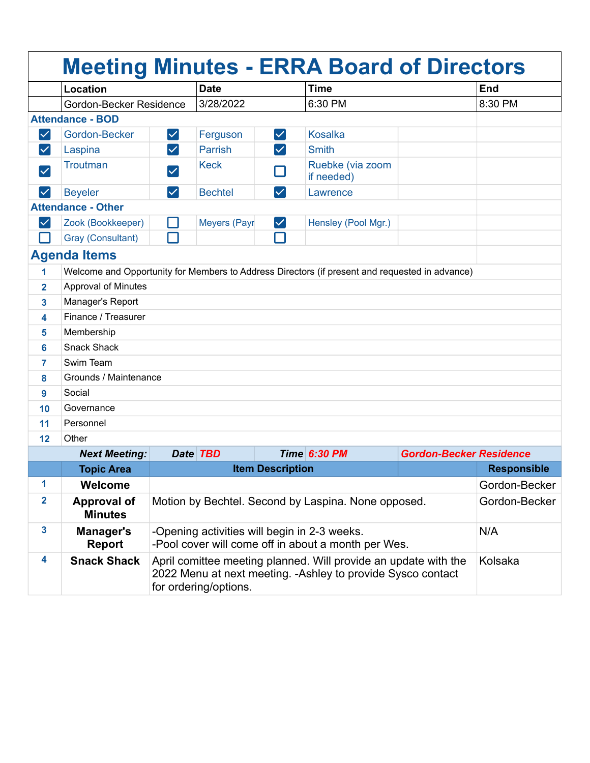|                      |                                      |                                                                                                                                                                     |                     |                      | <b>Meeting Minutes - ERRA Board of Directors</b>                                               |                                |            |
|----------------------|--------------------------------------|---------------------------------------------------------------------------------------------------------------------------------------------------------------------|---------------------|----------------------|------------------------------------------------------------------------------------------------|--------------------------------|------------|
|                      | Location                             |                                                                                                                                                                     | <b>Date</b>         |                      | <b>Time</b>                                                                                    |                                | <b>End</b> |
|                      | Gordon-Becker Residence              |                                                                                                                                                                     | 3/28/2022           |                      | 6:30 PM                                                                                        |                                | 8:30 PM    |
|                      | <b>Attendance - BOD</b>              |                                                                                                                                                                     |                     |                      |                                                                                                |                                |            |
| $\blacktriangledown$ | Gordon-Becker                        | $\vert\checkmark\vert$                                                                                                                                              | Ferguson            | $\blacktriangledown$ | <b>Kosalka</b>                                                                                 |                                |            |
| $\checkmark$         | Laspina                              | $\checkmark$                                                                                                                                                        | <b>Parrish</b>      | $\checkmark$         | <b>Smith</b>                                                                                   |                                |            |
| $\checkmark$         | <b>Troutman</b>                      | $\checkmark$                                                                                                                                                        | <b>Keck</b>         |                      | Ruebke (via zoom<br>if needed)                                                                 |                                |            |
| $\checkmark$         | <b>Beyeler</b>                       | $\blacktriangledown$                                                                                                                                                | <b>Bechtel</b>      | $\blacktriangledown$ | Lawrence                                                                                       |                                |            |
|                      | <b>Attendance - Other</b>            |                                                                                                                                                                     |                     |                      |                                                                                                |                                |            |
| $\checkmark$         | Zook (Bookkeeper)                    |                                                                                                                                                                     | <b>Meyers (Payr</b> | $\blacktriangledown$ | Hensley (Pool Mgr.)                                                                            |                                |            |
|                      | Gray (Consultant)                    | $\Box$                                                                                                                                                              |                     |                      |                                                                                                |                                |            |
|                      | <b>Agenda Items</b>                  |                                                                                                                                                                     |                     |                      |                                                                                                |                                |            |
| 1                    |                                      |                                                                                                                                                                     |                     |                      | Welcome and Opportunity for Members to Address Directors (if present and requested in advance) |                                |            |
| $\overline{2}$       | <b>Approval of Minutes</b>           |                                                                                                                                                                     |                     |                      |                                                                                                |                                |            |
| 3                    | Manager's Report                     |                                                                                                                                                                     |                     |                      |                                                                                                |                                |            |
| 4                    | Finance / Treasurer                  |                                                                                                                                                                     |                     |                      |                                                                                                |                                |            |
| 5                    | Membership                           |                                                                                                                                                                     |                     |                      |                                                                                                |                                |            |
| 6                    | <b>Snack Shack</b>                   |                                                                                                                                                                     |                     |                      |                                                                                                |                                |            |
| 7                    | Swim Team                            |                                                                                                                                                                     |                     |                      |                                                                                                |                                |            |
| 8                    | Grounds / Maintenance                |                                                                                                                                                                     |                     |                      |                                                                                                |                                |            |
| 9                    | Social                               |                                                                                                                                                                     |                     |                      |                                                                                                |                                |            |
| 10                   | Governance                           |                                                                                                                                                                     |                     |                      |                                                                                                |                                |            |
| 11                   | Personnel                            |                                                                                                                                                                     |                     |                      |                                                                                                |                                |            |
| 12                   | Other                                |                                                                                                                                                                     |                     |                      |                                                                                                |                                |            |
|                      | <b>Next Meeting:</b>                 |                                                                                                                                                                     | Date <b>TBD</b>     |                      | <b>Time 6:30 PM</b>                                                                            | <b>Gordon-Becker Residence</b> |            |
|                      | <b>Topic Area</b>                    | <b>Item Description</b>                                                                                                                                             |                     |                      | <b>Responsible</b>                                                                             |                                |            |
| 1                    | Welcome                              |                                                                                                                                                                     |                     |                      | Gordon-Becker                                                                                  |                                |            |
| $\overline{2}$       | <b>Approval of</b><br><b>Minutes</b> | Motion by Bechtel. Second by Laspina. None opposed.                                                                                                                 |                     |                      |                                                                                                | Gordon-Becker                  |            |
| $\mathbf{3}$         | Manager's<br><b>Report</b>           | -Opening activities will begin in 2-3 weeks.<br>-Pool cover will come off in about a month per Wes.                                                                 |                     |                      |                                                                                                | N/A                            |            |
| 4                    | <b>Snack Shack</b>                   | Kolsaka<br>April comittee meeting planned. Will provide an update with the<br>2022 Menu at next meeting. - Ashley to provide Sysco contact<br>for ordering/options. |                     |                      |                                                                                                |                                |            |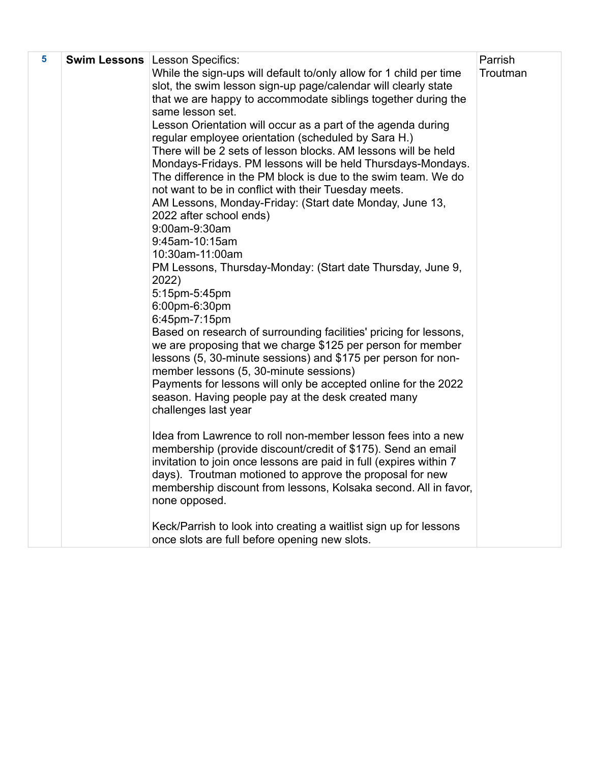| 5 | <b>Swim Lessons   Lesson Specifics:</b>                                                                                      |          |  |  |
|---|------------------------------------------------------------------------------------------------------------------------------|----------|--|--|
|   | While the sign-ups will default to/only allow for 1 child per time                                                           | Troutman |  |  |
|   | slot, the swim lesson sign-up page/calendar will clearly state                                                               |          |  |  |
|   | that we are happy to accommodate siblings together during the                                                                |          |  |  |
|   | same lesson set.                                                                                                             |          |  |  |
|   | Lesson Orientation will occur as a part of the agenda during                                                                 |          |  |  |
|   | regular employee orientation (scheduled by Sara H.)                                                                          |          |  |  |
|   | There will be 2 sets of lesson blocks. AM lessons will be held                                                               |          |  |  |
|   | Mondays-Fridays. PM lessons will be held Thursdays-Mondays.<br>The difference in the PM block is due to the swim team. We do |          |  |  |
|   | not want to be in conflict with their Tuesday meets.                                                                         |          |  |  |
|   | AM Lessons, Monday-Friday: (Start date Monday, June 13,                                                                      |          |  |  |
|   | 2022 after school ends)                                                                                                      |          |  |  |
|   | 9:00am-9:30am                                                                                                                |          |  |  |
|   | 9:45am-10:15am                                                                                                               |          |  |  |
|   | 10:30am-11:00am                                                                                                              |          |  |  |
|   | PM Lessons, Thursday-Monday: (Start date Thursday, June 9,                                                                   |          |  |  |
|   | 2022)                                                                                                                        |          |  |  |
|   | 5:15pm-5:45pm                                                                                                                |          |  |  |
|   | 6:00pm-6:30pm<br>6:45pm-7:15pm                                                                                               |          |  |  |
|   | Based on research of surrounding facilities' pricing for lessons,                                                            |          |  |  |
|   | we are proposing that we charge \$125 per person for member                                                                  |          |  |  |
|   | lessons (5, 30-minute sessions) and \$175 per person for non-                                                                |          |  |  |
|   | member lessons (5, 30-minute sessions)                                                                                       |          |  |  |
|   | Payments for lessons will only be accepted online for the 2022                                                               |          |  |  |
|   | season. Having people pay at the desk created many                                                                           |          |  |  |
|   | challenges last year                                                                                                         |          |  |  |
|   | Idea from Lawrence to roll non-member lesson fees into a new                                                                 |          |  |  |
|   | membership (provide discount/credit of \$175). Send an email                                                                 |          |  |  |
|   | invitation to join once lessons are paid in full (expires within 7                                                           |          |  |  |
|   | days). Troutman motioned to approve the proposal for new                                                                     |          |  |  |
|   | membership discount from lessons, Kolsaka second. All in favor,                                                              |          |  |  |
|   | none opposed.                                                                                                                |          |  |  |
|   |                                                                                                                              |          |  |  |
|   | Keck/Parrish to look into creating a waitlist sign up for lessons                                                            |          |  |  |
|   | once slots are full before opening new slots.                                                                                |          |  |  |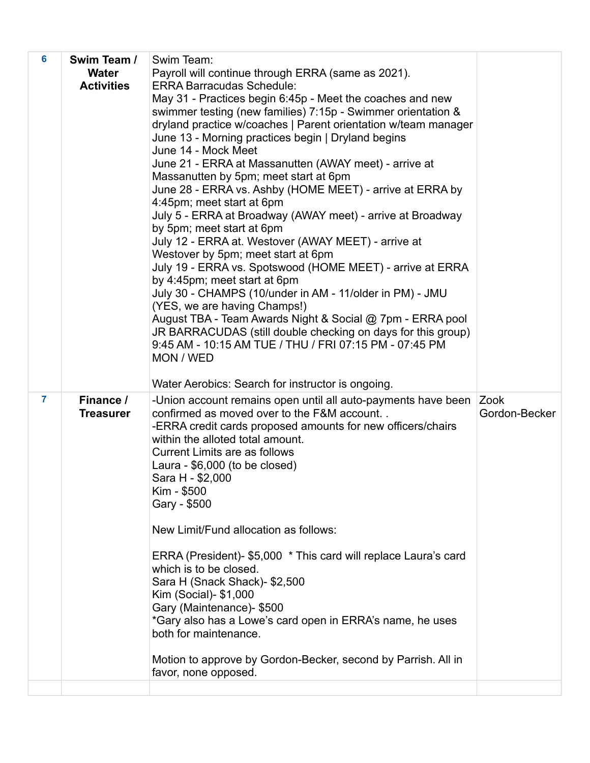| 6              | Swim Team /<br><b>Water</b><br><b>Activities</b> | Swim Team:<br>Payroll will continue through ERRA (same as 2021).<br><b>ERRA Barracudas Schedule:</b><br>May 31 - Practices begin 6:45p - Meet the coaches and new<br>swimmer testing (new families) 7:15p - Swimmer orientation &<br>dryland practice w/coaches   Parent orientation w/team manager<br>June 13 - Morning practices begin   Dryland begins<br>June 14 - Mock Meet<br>June 21 - ERRA at Massanutten (AWAY meet) - arrive at<br>Massanutten by 5pm; meet start at 6pm<br>June 28 - ERRA vs. Ashby (HOME MEET) - arrive at ERRA by<br>4:45pm; meet start at 6pm<br>July 5 - ERRA at Broadway (AWAY meet) - arrive at Broadway<br>by 5pm; meet start at 6pm<br>July 12 - ERRA at. Westover (AWAY MEET) - arrive at<br>Westover by 5pm; meet start at 6pm<br>July 19 - ERRA vs. Spotswood (HOME MEET) - arrive at ERRA<br>by 4:45pm; meet start at 6pm<br>July 30 - CHAMPS (10/under in AM - 11/older in PM) - JMU<br>(YES, we are having Champs!)<br>August TBA - Team Awards Night & Social @ 7pm - ERRA pool<br>JR BARRACUDAS (still double checking on days for this group)<br>9:45 AM - 10:15 AM TUE / THU / FRI 07:15 PM - 07:45 PM<br>MON / WED<br>Water Aerobics: Search for instructor is ongoing. |                       |
|----------------|--------------------------------------------------|-----------------------------------------------------------------------------------------------------------------------------------------------------------------------------------------------------------------------------------------------------------------------------------------------------------------------------------------------------------------------------------------------------------------------------------------------------------------------------------------------------------------------------------------------------------------------------------------------------------------------------------------------------------------------------------------------------------------------------------------------------------------------------------------------------------------------------------------------------------------------------------------------------------------------------------------------------------------------------------------------------------------------------------------------------------------------------------------------------------------------------------------------------------------------------------------------------------------------|-----------------------|
| $\overline{7}$ | Finance /<br><b>Treasurer</b>                    | -Union account remains open until all auto-payments have been<br>confirmed as moved over to the F&M account<br>-ERRA credit cards proposed amounts for new officers/chairs<br>within the alloted total amount.<br><b>Current Limits are as follows</b><br>Laura - \$6,000 (to be closed)<br>Sara H - \$2,000<br>Kim - \$500<br>Gary - \$500<br>New Limit/Fund allocation as follows:<br>ERRA (President)- \$5,000 * This card will replace Laura's card<br>which is to be closed.<br>Sara H (Snack Shack)- \$2,500<br>Kim (Social)- \$1,000<br>Gary (Maintenance)- \$500<br>*Gary also has a Lowe's card open in ERRA's name, he uses<br>both for maintenance.<br>Motion to approve by Gordon-Becker, second by Parrish. All in<br>favor, none opposed.                                                                                                                                                                                                                                                                                                                                                                                                                                                               | Zook<br>Gordon-Becker |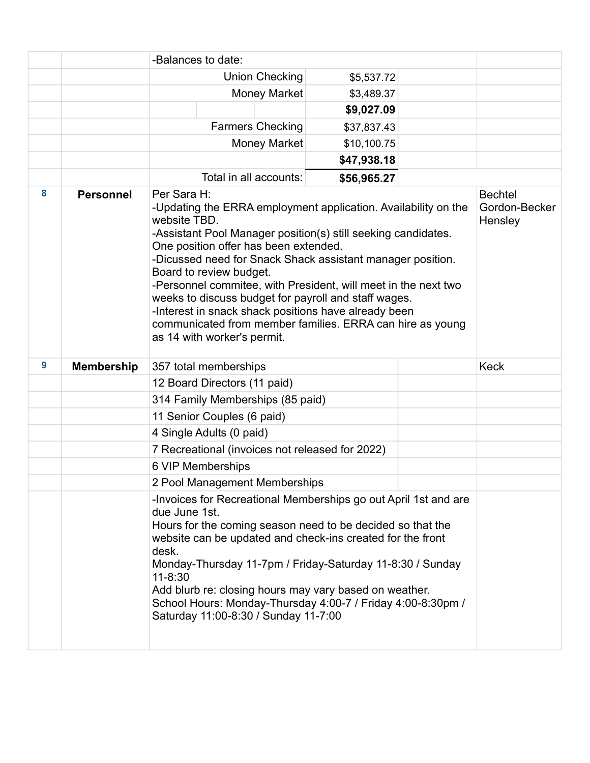|   |                   | -Balances to date:                                                                                                                                                                                                                                                                                                                                                                                                                                                                                                                                                             |                                                                                                                                                                                                                                                                                                                                                                                                                           |  |             |                                            |             |
|---|-------------------|--------------------------------------------------------------------------------------------------------------------------------------------------------------------------------------------------------------------------------------------------------------------------------------------------------------------------------------------------------------------------------------------------------------------------------------------------------------------------------------------------------------------------------------------------------------------------------|---------------------------------------------------------------------------------------------------------------------------------------------------------------------------------------------------------------------------------------------------------------------------------------------------------------------------------------------------------------------------------------------------------------------------|--|-------------|--------------------------------------------|-------------|
|   |                   |                                                                                                                                                                                                                                                                                                                                                                                                                                                                                                                                                                                | Union Checking                                                                                                                                                                                                                                                                                                                                                                                                            |  | \$5,537.72  |                                            |             |
|   |                   |                                                                                                                                                                                                                                                                                                                                                                                                                                                                                                                                                                                | <b>Money Market</b>                                                                                                                                                                                                                                                                                                                                                                                                       |  | \$3,489.37  |                                            |             |
|   |                   |                                                                                                                                                                                                                                                                                                                                                                                                                                                                                                                                                                                |                                                                                                                                                                                                                                                                                                                                                                                                                           |  | \$9,027.09  |                                            |             |
|   |                   |                                                                                                                                                                                                                                                                                                                                                                                                                                                                                                                                                                                | <b>Farmers Checking</b>                                                                                                                                                                                                                                                                                                                                                                                                   |  | \$37,837.43 |                                            |             |
|   |                   |                                                                                                                                                                                                                                                                                                                                                                                                                                                                                                                                                                                | <b>Money Market</b>                                                                                                                                                                                                                                                                                                                                                                                                       |  | \$10,100.75 |                                            |             |
|   |                   |                                                                                                                                                                                                                                                                                                                                                                                                                                                                                                                                                                                |                                                                                                                                                                                                                                                                                                                                                                                                                           |  | \$47,938.18 |                                            |             |
|   |                   |                                                                                                                                                                                                                                                                                                                                                                                                                                                                                                                                                                                | Total in all accounts:                                                                                                                                                                                                                                                                                                                                                                                                    |  | \$56,965.27 |                                            |             |
| 8 | <b>Personnel</b>  | Per Sara H:<br>-Updating the ERRA employment application. Availability on the<br>website TBD.<br>-Assistant Pool Manager position(s) still seeking candidates.<br>One position offer has been extended.<br>-Dicussed need for Snack Shack assistant manager position.<br>Board to review budget.<br>-Personnel commitee, with President, will meet in the next two<br>weeks to discuss budget for payroll and staff wages.<br>-Interest in snack shack positions have already been<br>communicated from member families. ERRA can hire as young<br>as 14 with worker's permit. |                                                                                                                                                                                                                                                                                                                                                                                                                           |  |             | <b>Bechtel</b><br>Gordon-Becker<br>Hensley |             |
| 9 | <b>Membership</b> |                                                                                                                                                                                                                                                                                                                                                                                                                                                                                                                                                                                | 357 total memberships                                                                                                                                                                                                                                                                                                                                                                                                     |  |             |                                            | <b>Keck</b> |
|   |                   |                                                                                                                                                                                                                                                                                                                                                                                                                                                                                                                                                                                | 12 Board Directors (11 paid)                                                                                                                                                                                                                                                                                                                                                                                              |  |             |                                            |             |
|   |                   | 314 Family Memberships (85 paid)                                                                                                                                                                                                                                                                                                                                                                                                                                                                                                                                               |                                                                                                                                                                                                                                                                                                                                                                                                                           |  |             |                                            |             |
|   |                   | 11 Senior Couples (6 paid)                                                                                                                                                                                                                                                                                                                                                                                                                                                                                                                                                     |                                                                                                                                                                                                                                                                                                                                                                                                                           |  |             |                                            |             |
|   |                   | 4 Single Adults (0 paid)                                                                                                                                                                                                                                                                                                                                                                                                                                                                                                                                                       |                                                                                                                                                                                                                                                                                                                                                                                                                           |  |             |                                            |             |
|   |                   | 7 Recreational (invoices not released for 2022)                                                                                                                                                                                                                                                                                                                                                                                                                                                                                                                                |                                                                                                                                                                                                                                                                                                                                                                                                                           |  |             |                                            |             |
|   |                   | 6 VIP Memberships                                                                                                                                                                                                                                                                                                                                                                                                                                                                                                                                                              |                                                                                                                                                                                                                                                                                                                                                                                                                           |  |             |                                            |             |
|   |                   | 2 Pool Management Memberships                                                                                                                                                                                                                                                                                                                                                                                                                                                                                                                                                  |                                                                                                                                                                                                                                                                                                                                                                                                                           |  |             |                                            |             |
|   |                   | due June 1st.<br>desk.<br>$11 - 8:30$                                                                                                                                                                                                                                                                                                                                                                                                                                                                                                                                          | -Invoices for Recreational Memberships go out April 1st and are<br>Hours for the coming season need to be decided so that the<br>website can be updated and check-ins created for the front<br>Monday-Thursday 11-7pm / Friday-Saturday 11-8:30 / Sunday<br>Add blurb re: closing hours may vary based on weather.<br>School Hours: Monday-Thursday 4:00-7 / Friday 4:00-8:30pm /<br>Saturday 11:00-8:30 / Sunday 11-7:00 |  |             |                                            |             |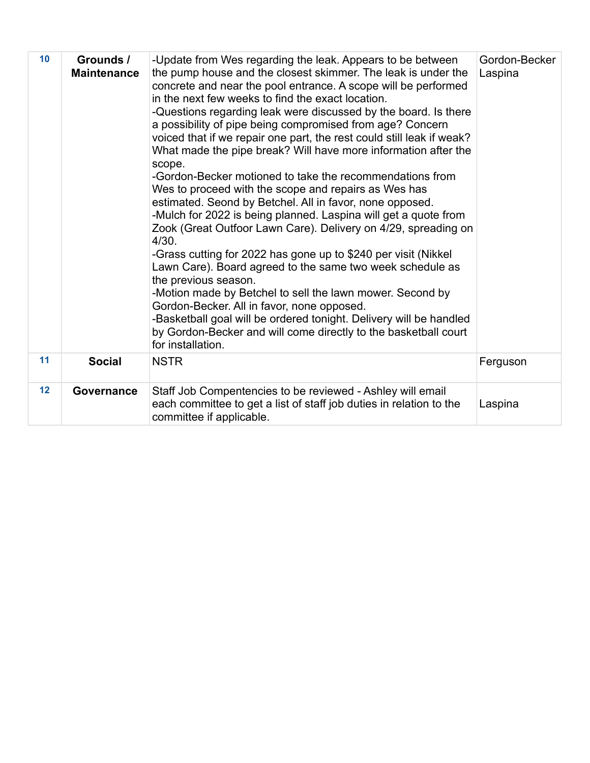| 10 <sub>1</sub> | Grounds /<br><b>Maintenance</b> | -Update from Wes regarding the leak. Appears to be between<br>the pump house and the closest skimmer. The leak is under the<br>concrete and near the pool entrance. A scope will be performed<br>in the next few weeks to find the exact location.<br>-Questions regarding leak were discussed by the board. Is there<br>a possibility of pipe being compromised from age? Concern<br>voiced that if we repair one part, the rest could still leak if weak?<br>What made the pipe break? Will have more information after the<br>scope.<br>-Gordon-Becker motioned to take the recommendations from<br>Wes to proceed with the scope and repairs as Wes has<br>estimated. Seond by Betchel. All in favor, none opposed.<br>-Mulch for 2022 is being planned. Laspina will get a quote from<br>Zook (Great Outfoor Lawn Care). Delivery on 4/29, spreading on<br>4/30.<br>-Grass cutting for 2022 has gone up to \$240 per visit (Nikkel<br>Lawn Care). Board agreed to the same two week schedule as<br>the previous season.<br>-Motion made by Betchel to sell the lawn mower. Second by<br>Gordon-Becker. All in favor, none opposed.<br>-Basketball goal will be ordered tonight. Delivery will be handled<br>by Gordon-Becker and will come directly to the basketball court<br>for installation. | Gordon-Becker<br>Laspina |
|-----------------|---------------------------------|-------------------------------------------------------------------------------------------------------------------------------------------------------------------------------------------------------------------------------------------------------------------------------------------------------------------------------------------------------------------------------------------------------------------------------------------------------------------------------------------------------------------------------------------------------------------------------------------------------------------------------------------------------------------------------------------------------------------------------------------------------------------------------------------------------------------------------------------------------------------------------------------------------------------------------------------------------------------------------------------------------------------------------------------------------------------------------------------------------------------------------------------------------------------------------------------------------------------------------------------------------------------------------------------------------|--------------------------|
| 11              | <b>Social</b>                   | <b>NSTR</b>                                                                                                                                                                                                                                                                                                                                                                                                                                                                                                                                                                                                                                                                                                                                                                                                                                                                                                                                                                                                                                                                                                                                                                                                                                                                                           | Ferguson                 |
| 12              | Governance                      | Staff Job Compentencies to be reviewed - Ashley will email<br>each committee to get a list of staff job duties in relation to the<br>committee if applicable.                                                                                                                                                                                                                                                                                                                                                                                                                                                                                                                                                                                                                                                                                                                                                                                                                                                                                                                                                                                                                                                                                                                                         | Laspina                  |